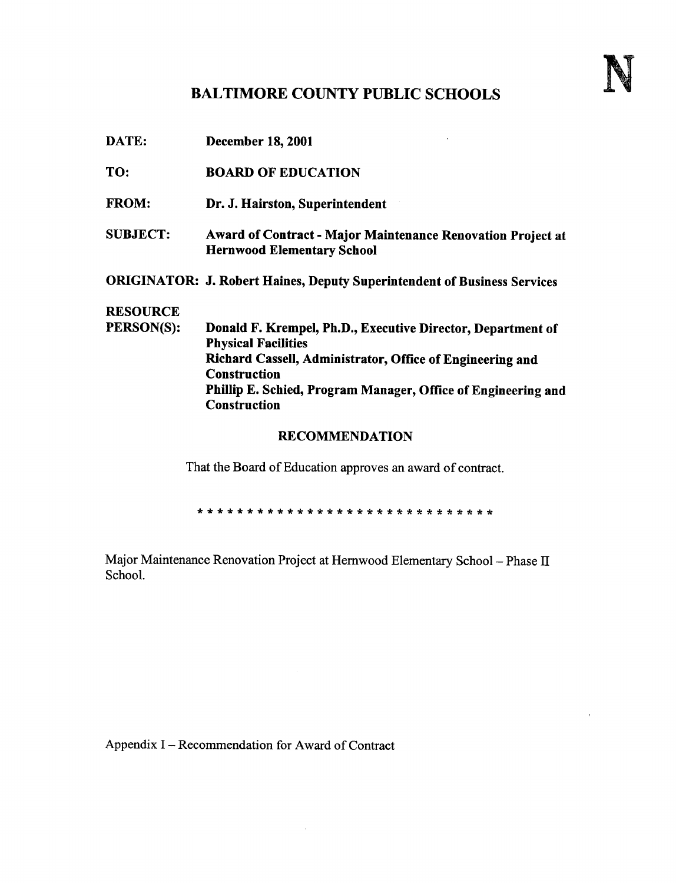## BALTIMORE COUNTY PUBLIC SCHOOLS

| DATE:                 | <b>December 18, 2001</b>                                                                         |  |  |  |
|-----------------------|--------------------------------------------------------------------------------------------------|--|--|--|
| TO:                   | <b>BOARD OF EDUCATION</b>                                                                        |  |  |  |
| <b>FROM:</b>          | Dr. J. Hairston, Superintendent                                                                  |  |  |  |
| <b>SUBJECT:</b>       | Award of Contract - Major Maintenance Renovation Project at<br><b>Hernwood Elementary School</b> |  |  |  |
|                       | <b>ORIGINATOR: J. Robert Haines, Deputy Superintendent of Business Services</b>                  |  |  |  |
| <b>RESOURCE</b>       |                                                                                                  |  |  |  |
| PERSON(S):            | Donald F. Krempel, Ph.D., Executive Director, Department of<br><b>Physical Facilities</b>        |  |  |  |
|                       | Richard Cassell, Administrator, Office of Engineering and<br><b>Construction</b>                 |  |  |  |
|                       | Phillip E. Schied, Program Manager, Office of Engineering and<br><b>Construction</b>             |  |  |  |
| <b>RECOMMENDATION</b> |                                                                                                  |  |  |  |

That the Board of Education approves an award of contract.

Major Maintenance Renovation Project at Hernwood Elementary School - Phase II School.

Appendix I - Recommendation for Award of Contract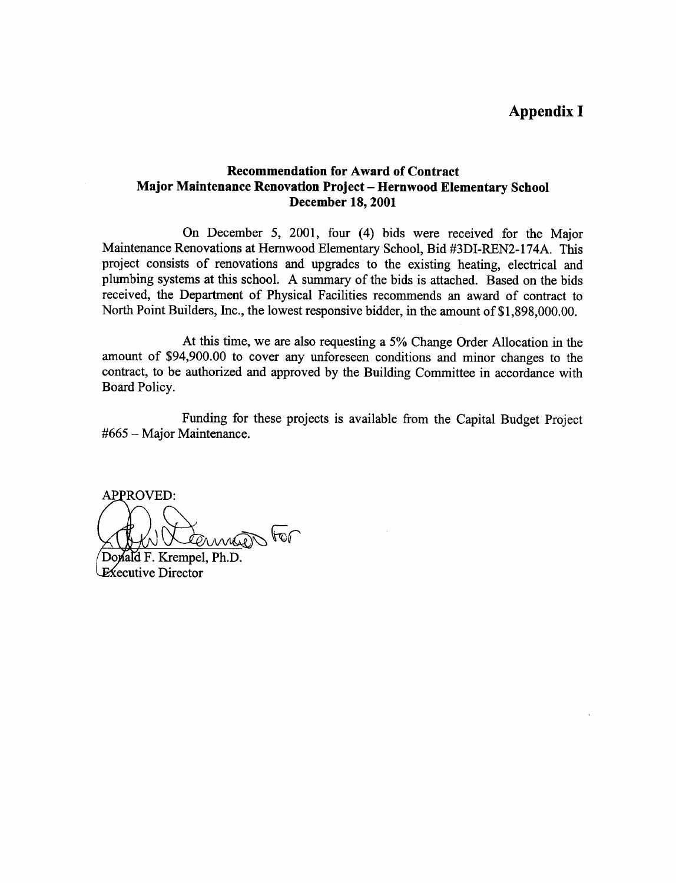## Appendix <sup>I</sup>

## Recommendation for Award of Contract Major Maintenance Renovation Project - Hernwood Elementary School December 18, 2001

On December 5, 2001, four (4) bids were received for the Major Maintenance Renovations at Hernwood Elementary School, Bid #3DI-REN2-174A . This project consists of renovations and upgrades to the existing heating, electrical and plumbing systems at this school. A summary of the bids is attached. Based on the bids received, the Department of Physical Facilities recommends an award of contract to North Point Builders, Inc., the lowest responsive bidder, in the amount of \$1,898,000.00.

At this time, we are also requesting <sup>a</sup> 5% Change Order Allocation in the amount of \$94,900.00 to cover any unforeseen conditions and minor changes to the contract, to be authorized and approved by the Building Committee in accordance with Board Policy.

Funding for these projects is available from the Capital Budget Project  $#665 -$  Major Maintenance.

**APPROVED:**  $\sqrt{10}$ 

Donald F. Krempel, Ph.D. **Executive Director**